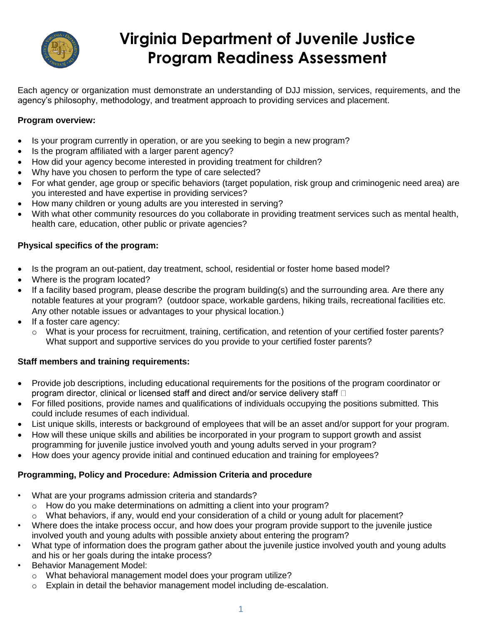

# **Virginia Department of Juvenile Justice Program Readiness Assessment**

Each agency or organization must demonstrate an understanding of DJJ mission, services, requirements, and the agency's philosophy, methodology, and treatment approach to providing services and placement.

#### **Program overview:**

- Is your program currently in operation, or are you seeking to begin a new program?
- Is the program affiliated with a larger parent agency?
- How did your agency become interested in providing treatment for children?
- Why have you chosen to perform the type of care selected?
- For what gender, age group or specific behaviors (target population, risk group and criminogenic need area) are you interested and have expertise in providing services?
- How many children or young adults are you interested in serving?
- With what other community resources do you collaborate in providing treatment services such as mental health, health care, education, other public or private agencies?

#### **Physical specifics of the program:**

- Is the program an out-patient, day treatment, school, residential or foster home based model?
- Where is the program located?
- If a facility based program, please describe the program building(s) and the surrounding area. Are there any notable features at your program? (outdoor space, workable gardens, hiking trails, recreational facilities etc. Any other notable issues or advantages to your physical location.)
- If a foster care agency:
	- o What is your process for recruitment, training, certification, and retention of your certified foster parents? What support and supportive services do you provide to your certified foster parents?

#### **Staff members and training requirements:**

- Provide job descriptions, including educational requirements for the positions of the program coordinator or program director, clinical or licensed staff and direct and/or service delivery staff D
- For filled positions, provide names and qualifications of individuals occupying the positions submitted. This could include resumes of each individual.
- List unique skills, interests or background of employees that will be an asset and/or support for your program.
- How will these unique skills and abilities be incorporated in your program to support growth and assist programming for juvenile justice involved youth and young adults served in your program?
- How does your agency provide initial and continued education and training for employees?

## **Programming, Policy and Procedure: Admission Criteria and procedure**

- What are your programs admission criteria and standards?
	- $\circ$  How do you make determinations on admitting a client into your program?
	- $\circ$  What behaviors, if any, would end your consideration of a child or young adult for placement?
- Where does the intake process occur, and how does your program provide support to the juvenile justice involved youth and young adults with possible anxiety about entering the program?
- What type of information does the program gather about the juvenile justice involved youth and young adults and his or her goals during the intake process?
- Behavior Management Model:
	- o What behavioral management model does your program utilize?
	- $\circ$  Explain in detail the behavior management model including de-escalation.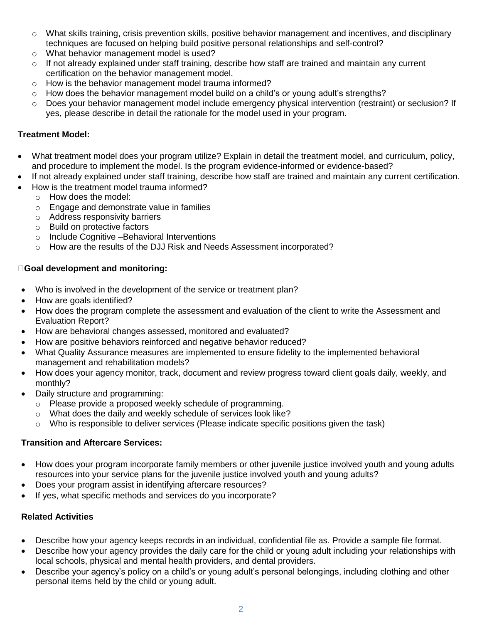- o What skills training, crisis prevention skills, positive behavior management and incentives, and disciplinary techniques are focused on helping build positive personal relationships and self-control?
- o What behavior management model is used?
- $\circ$  If not already explained under staff training, describe how staff are trained and maintain any current certification on the behavior management model.
- o How is the behavior management model trauma informed?
- o How does the behavior management model build on a child's or young adult's strengths?
- o Does your behavior management model include emergency physical intervention (restraint) or seclusion? If yes, please describe in detail the rationale for the model used in your program.

## **Treatment Model:**

- What treatment model does your program utilize? Explain in detail the treatment model, and curriculum, policy, and procedure to implement the model. Is the program evidence-informed or evidence-based?
- If not already explained under staff training, describe how staff are trained and maintain any current certification.
- How is the treatment model trauma informed?
	- o How does the model:
	- o Engage and demonstrate value in families
	- o Address responsivity barriers
	- o Build on protective factors
	- o Include Cognitive –Behavioral Interventions
	- o How are the results of the DJJ Risk and Needs Assessment incorporated?

## **Goal development and monitoring:**

- Who is involved in the development of the service or treatment plan?
- How are goals identified?
- How does the program complete the assessment and evaluation of the client to write the Assessment and Evaluation Report?
- How are behavioral changes assessed, monitored and evaluated?
- How are positive behaviors reinforced and negative behavior reduced?
- What Quality Assurance measures are implemented to ensure fidelity to the implemented behavioral management and rehabilitation models?
- How does your agency monitor, track, document and review progress toward client goals daily, weekly, and monthly?
- Daily structure and programming:
	- o Please provide a proposed weekly schedule of programming.
	- o What does the daily and weekly schedule of services look like?
	- $\circ$  Who is responsible to deliver services (Please indicate specific positions given the task)

# **Transition and Aftercare Services:**

- How does your program incorporate family members or other juvenile justice involved youth and young adults resources into your service plans for the juvenile justice involved youth and young adults?
- Does your program assist in identifying aftercare resources?
- If yes, what specific methods and services do you incorporate?

# **Related Activities**

- Describe how your agency keeps records in an individual, confidential file as. Provide a sample file format.
- Describe how your agency provides the daily care for the child or young adult including your relationships with local schools, physical and mental health providers, and dental providers.
- Describe your agency's policy on a child's or young adult's personal belongings, including clothing and other personal items held by the child or young adult.